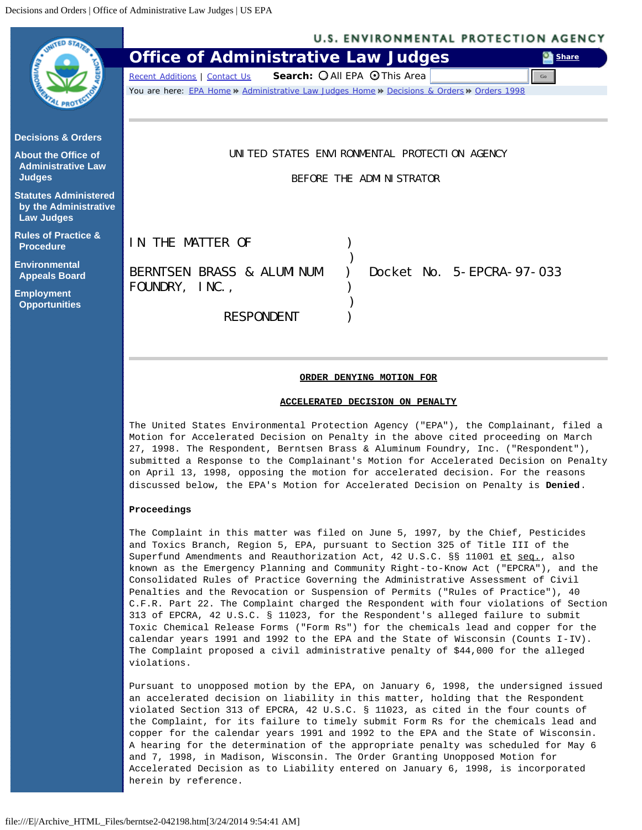<span id="page-0-0"></span>

| <b>U.S. ENVIRONMENTAL PROTECTION AGENCY</b>                                                |
|--------------------------------------------------------------------------------------------|
| <b>Office of Administrative Law Judges</b><br><b>Share</b>                                 |
| Search: O All EPA O This Area<br>Recent Additions   Contact Us<br>Go                       |
| You are here: EPA Home » Administrative Law Judges Home » Decisions & Orders » Orders 1998 |
|                                                                                            |
|                                                                                            |
|                                                                                            |
| UNITED STATES ENVIRONMENTAL PROTECTION AGENCY                                              |
| BEFORE THE ADMINISTRATOR                                                                   |
|                                                                                            |
|                                                                                            |
|                                                                                            |
| IN THE MATTER OF                                                                           |
|                                                                                            |
| BERNTSEN BRASS & ALUMINUM<br>Docket No. 5-EPCRA-97-033                                     |
| FOUNDRY, INC.,                                                                             |
|                                                                                            |
| <b>RESPONDENT</b>                                                                          |
|                                                                                            |
|                                                                                            |
|                                                                                            |

#### **ORDER DENYING MOTION FOR**

#### **ACCELERATED DECISION ON PENALTY**

The United States Environmental Protection Agency ("EPA"), the Complainant, filed a Motion for Accelerated Decision on Penalty in the above cited proceeding on March 27, 1998. The Respondent, Berntsen Brass & Aluminum Foundry, Inc. ("Respondent"), submitted a Response to the Complainant's Motion for Accelerated Decision on Penalty on April 13, 1998, opposing the motion for accelerated decision. For the reasons discussed below, the EPA's Motion for Accelerated Decision on Penalty is **Denied**.

### **Proceedings**

The Complaint in this matter was filed on June 5, 1997, by the Chief, Pesticides and Toxics Branch, Region 5, EPA, pursuant to Section 325 of Title III of the Superfund Amendments and Reauthorization Act, 42 U.S.C. §§ 11001 et seq., also known as the Emergency Planning and Community Right-to-Know Act ("EPCRA"), and the Consolidated Rules of Practice Governing the Administrative Assessment of Civil Penalties and the Revocation or Suspension of Permits ("Rules of Practice"), 40 C.F.R. Part 22. The Complaint charged the Respondent with four violations of Section 313 of EPCRA, 42 U.S.C. § 11023, for the Respondent's alleged failure to submit Toxic Chemical Release Forms ("Form Rs") for the chemicals lead and copper for the calendar years 1991 and 1992 to the EPA and the State of Wisconsin (Counts I-IV). The Complaint proposed a civil administrative penalty of \$44,000 for the alleged violations.

Pursuant to unopposed motion by the EPA, on January 6, 1998, the undersigned issued an accelerated decision on liability in this matter, holding that the Respondent violated Section 313 of EPCRA, 42 U.S.C. § 11023, as cited in the four counts of the Complaint, for its failure to timely submit Form Rs for the chemicals lead and copper for the calendar years 1991 and 1992 to the EPA and the State of Wisconsin. A hearing for the determination of the appropriate penalty was scheduled for May 6 and 7, 1998, in Madison, Wisconsin. The Order Granting Unopposed Motion for Accelerated Decision as to Liability entered on January 6, 1998, is incorporated herein by reference.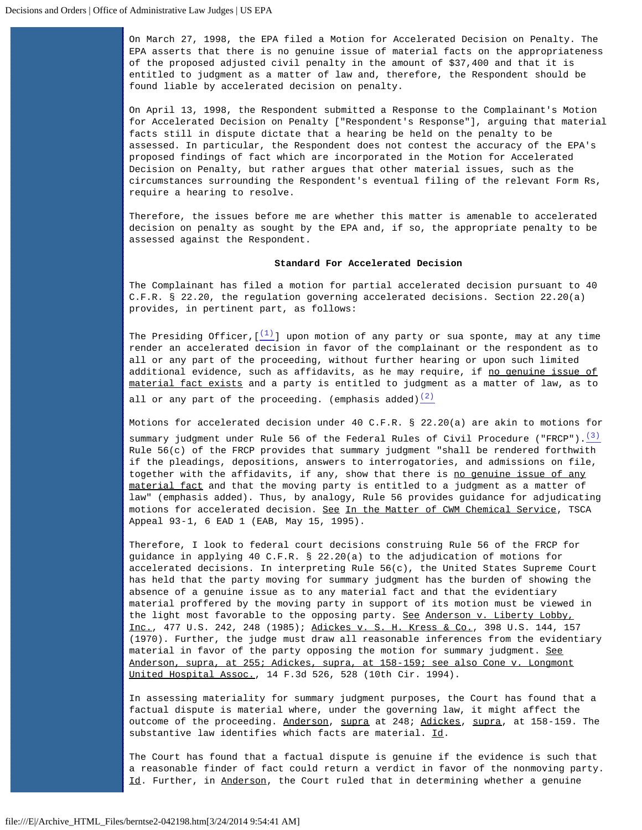On March 27, 1998, the EPA filed a Motion for Accelerated Decision on Penalty. The EPA asserts that there is no genuine issue of material facts on the appropriateness of the proposed adjusted civil penalty in the amount of \$37,400 and that it is entitled to judgment as a matter of law and, therefore, the Respondent should be found liable by accelerated decision on penalty.

On April 13, 1998, the Respondent submitted a Response to the Complainant's Motion for Accelerated Decision on Penalty ["Respondent's Response"], arguing that material facts still in dispute dictate that a hearing be held on the penalty to be assessed. In particular, the Respondent does not contest the accuracy of the EPA's proposed findings of fact which are incorporated in the Motion for Accelerated Decision on Penalty, but rather argues that other material issues, such as the circumstances surrounding the Respondent's eventual filing of the relevant Form Rs, require a hearing to resolve.

Therefore, the issues before me are whether this matter is amenable to accelerated decision on penalty as sought by the EPA and, if so, the appropriate penalty to be assessed against the Respondent.

## **Standard For Accelerated Decision**

The Complainant has filed a motion for partial accelerated decision pursuant to 40 C.F.R. § 22.20, the regulation governing accelerated decisions. Section 22.20(a) provides, in pertinent part, as follows:

The Presiding Officer,  $[\frac{(1)}{2}]$  $[\frac{(1)}{2}]$  $[\frac{(1)}{2}]$  upon motion of any party or sua sponte, may at any time render an accelerated decision in favor of the complainant or the respondent as to all or any part of the proceeding, without further hearing or upon such limited additional evidence, such as affidavits, as he may require, if no genuine issue of material fact exists and a party is entitled to judgment as a matter of law, as to all or any part of the proceeding. (emphasis added) $\frac{(2)}{(2)}$  $\frac{(2)}{(2)}$  $\frac{(2)}{(2)}$ 

Motions for accelerated decision under 40 C.F.R. § 22.20(a) are akin to motions for summary judgment under Rule 56 of the Federal Rules of Civil Procedure ("FRCP"). $\frac{(3)}{2}$  $\frac{(3)}{2}$  $\frac{(3)}{2}$ Rule  $56(c)$  of the FRCP provides that summary judgment "shall be rendered forthwith if the pleadings, depositions, answers to interrogatories, and admissions on file, together with the affidavits, if any, show that there is no genuine issue of any material fact and that the moving party is entitled to a judgment as a matter of law" (emphasis added). Thus, by analogy, Rule 56 provides guidance for adjudicating motions for accelerated decision. See In the Matter of CWM Chemical Service, TSCA Appeal 93-1, 6 EAD 1 (EAB, May 15, 1995).

Therefore, I look to federal court decisions construing Rule 56 of the FRCP for guidance in applying 40 C.F.R. § 22.20(a) to the adjudication of motions for accelerated decisions. In interpreting Rule 56(c), the United States Supreme Court has held that the party moving for summary judgment has the burden of showing the absence of a genuine issue as to any material fact and that the evidentiary material proffered by the moving party in support of its motion must be viewed in the light most favorable to the opposing party. See Anderson v. Liberty Lobby, Inc., 477 U.S. 242, 248 (1985); Adickes v. S. H. Kress & Co., 398 U.S. 144, 157 (1970). Further, the judge must draw all reasonable inferences from the evidentiary material in favor of the party opposing the motion for summary judgment. See Anderson, supra, at 255; Adickes, supra, at 158-159; see also Cone v. Longmont United Hospital Assoc., 14 F.3d 526, 528 (10th Cir. 1994).

In assessing materiality for summary judgment purposes, the Court has found that a factual dispute is material where, under the governing law, it might affect the outcome of the proceeding. Anderson, supra at 248; Adickes, supra, at 158-159. The substantive law identifies which facts are material. Id.

The Court has found that a factual dispute is genuine if the evidence is such that a reasonable finder of fact could return a verdict in favor of the nonmoving party. Id. Further, in Anderson, the Court ruled that in determining whether a genuine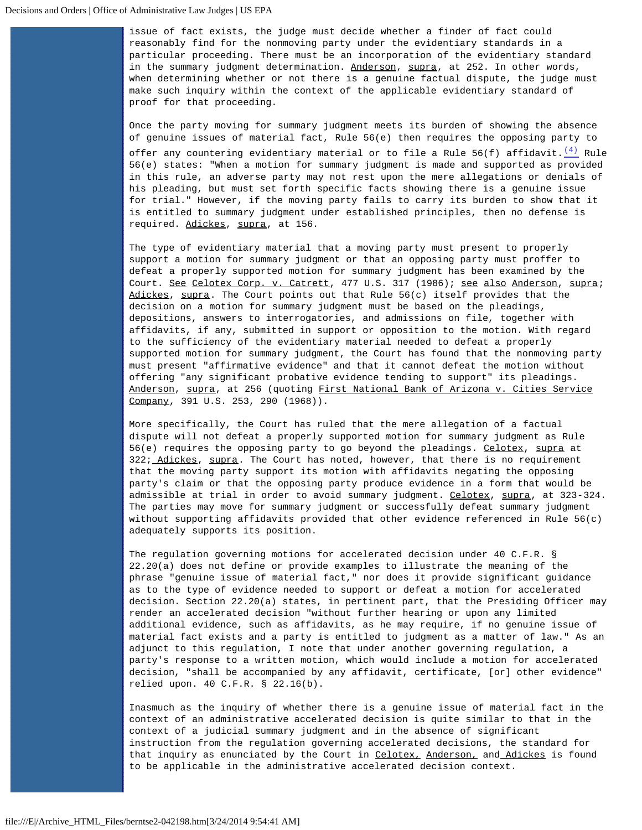issue of fact exists, the judge must decide whether a finder of fact could reasonably find for the nonmoving party under the evidentiary standards in a particular proceeding. There must be an incorporation of the evidentiary standard in the summary judgment determination. Anderson, supra, at 252. In other words, when determining whether or not there is a genuine factual dispute, the judge must make such inquiry within the context of the applicable evidentiary standard of proof for that proceeding.

Once the party moving for summary judgment meets its burden of showing the absence of genuine issues of material fact, Rule 56(e) then requires the opposing party to offer any countering evidentiary material or to file a Rule 56(f) affidavit.  $\frac{(4)}{4}$  $\frac{(4)}{4}$  $\frac{(4)}{4}$  Rule 56(e) states: "When a motion for summary judgment is made and supported as provided in this rule, an adverse party may not rest upon the mere allegations or denials of his pleading, but must set forth specific facts showing there is a genuine issue for trial." However, if the moving party fails to carry its burden to show that it is entitled to summary judgment under established principles, then no defense is required. Adickes, supra, at 156.

The type of evidentiary material that a moving party must present to properly support a motion for summary judgment or that an opposing party must proffer to defeat a properly supported motion for summary judgment has been examined by the Court. See Celotex Corp. v. Catrett, 477 U.S. 317 (1986); see also Anderson, supra; Adickes, supra. The Court points out that Rule  $56(c)$  itself provides that the decision on a motion for summary judgment must be based on the pleadings, depositions, answers to interrogatories, and admissions on file, together with affidavits, if any, submitted in support or opposition to the motion. With regard to the sufficiency of the evidentiary material needed to defeat a properly supported motion for summary judgment, the Court has found that the nonmoving party must present "affirmative evidence" and that it cannot defeat the motion without offering "any significant probative evidence tending to support" its pleadings. Anderson, supra, at 256 (quoting First National Bank of Arizona v. Cities Service Company, 391 U.S. 253, 290 (1968)).

More specifically, the Court has ruled that the mere allegation of a factual dispute will not defeat a properly supported motion for summary judgment as Rule 56(e) requires the opposing party to go beyond the pleadings. Celotex, supra at 322; Adickes, supra. The Court has noted, however, that there is no requirement that the moving party support its motion with affidavits negating the opposing party's claim or that the opposing party produce evidence in a form that would be admissible at trial in order to avoid summary judgment. Celotex, supra, at 323-324. The parties may move for summary judgment or successfully defeat summary judgment without supporting affidavits provided that other evidence referenced in Rule 56(c) adequately supports its position.

The regulation governing motions for accelerated decision under 40 C.F.R. § 22.20(a) does not define or provide examples to illustrate the meaning of the phrase "genuine issue of material fact," nor does it provide significant guidance as to the type of evidence needed to support or defeat a motion for accelerated decision. Section 22.20(a) states, in pertinent part, that the Presiding Officer may render an accelerated decision "without further hearing or upon any limited additional evidence, such as affidavits, as he may require, if no genuine issue of material fact exists and a party is entitled to judgment as a matter of law." As an adjunct to this regulation, I note that under another governing regulation, a party's response to a written motion, which would include a motion for accelerated decision, "shall be accompanied by any affidavit, certificate, [or] other evidence" relied upon. 40 C.F.R. § 22.16(b).

Inasmuch as the inquiry of whether there is a genuine issue of material fact in the context of an administrative accelerated decision is quite similar to that in the context of a judicial summary judgment and in the absence of significant instruction from the regulation governing accelerated decisions, the standard for that inquiry as enunciated by the Court in Celotex, Anderson, and Adickes is found to be applicable in the administrative accelerated decision context.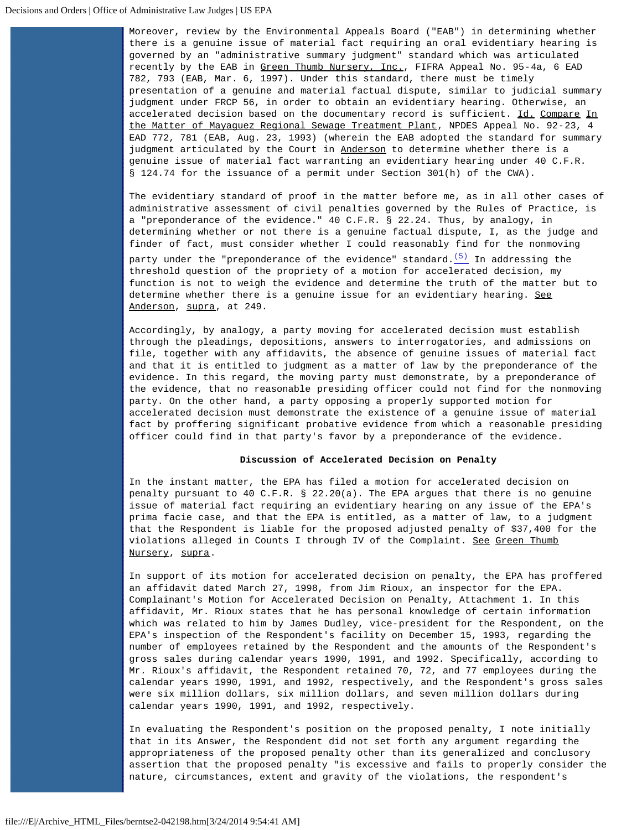Moreover, review by the Environmental Appeals Board ("EAB") in determining whether there is a genuine issue of material fact requiring an oral evidentiary hearing is governed by an "administrative summary judgment" standard which was articulated recently by the EAB in Green Thumb Nursery, Inc., FIFRA Appeal No. 95-4a, 6 EAD 782, 793 (EAB, Mar. 6, 1997). Under this standard, there must be timely presentation of a genuine and material factual dispute, similar to judicial summary judgment under FRCP 56, in order to obtain an evidentiary hearing. Otherwise, an accelerated decision based on the documentary record is sufficient. Id. Compare In the Matter of Mayaguez Regional Sewage Treatment Plant, NPDES Appeal No. 92-23, 4 EAD 772, 781 (EAB, Aug. 23, 1993) (wherein the EAB adopted the standard for summary judgment articulated by the Court in Anderson to determine whether there is a genuine issue of material fact warranting an evidentiary hearing under 40 C.F.R. § 124.74 for the issuance of a permit under Section 301(h) of the CWA).

The evidentiary standard of proof in the matter before me, as in all other cases of administrative assessment of civil penalties governed by the Rules of Practice, is a "preponderance of the evidence." 40 C.F.R. § 22.24. Thus, by analogy, in determining whether or not there is a genuine factual dispute, I, as the judge and finder of fact, must consider whether I could reasonably find for the nonmoving party under the "preponderance of the evidence" standard. $(5)$  In addressing the

threshold question of the propriety of a motion for accelerated decision, my function is not to weigh the evidence and determine the truth of the matter but to determine whether there is a genuine issue for an evidentiary hearing. See Anderson, supra, at 249.

Accordingly, by analogy, a party moving for accelerated decision must establish through the pleadings, depositions, answers to interrogatories, and admissions on file, together with any affidavits, the absence of genuine issues of material fact and that it is entitled to judgment as a matter of law by the preponderance of the evidence. In this regard, the moving party must demonstrate, by a preponderance of the evidence, that no reasonable presiding officer could not find for the nonmoving party. On the other hand, a party opposing a properly supported motion for accelerated decision must demonstrate the existence of a genuine issue of material fact by proffering significant probative evidence from which a reasonable presiding officer could find in that party's favor by a preponderance of the evidence.

#### **Discussion of Accelerated Decision on Penalty**

In the instant matter, the EPA has filed a motion for accelerated decision on penalty pursuant to 40 C.F.R. § 22.20(a). The EPA argues that there is no genuine issue of material fact requiring an evidentiary hearing on any issue of the EPA's prima facie case, and that the EPA is entitled, as a matter of law, to a judgment that the Respondent is liable for the proposed adjusted penalty of \$37,400 for the violations alleged in Counts I through IV of the Complaint. See Green Thumb Nursery, supra.

In support of its motion for accelerated decision on penalty, the EPA has proffered an affidavit dated March 27, 1998, from Jim Rioux, an inspector for the EPA. Complainant's Motion for Accelerated Decision on Penalty, Attachment 1. In this affidavit, Mr. Rioux states that he has personal knowledge of certain information which was related to him by James Dudley, vice-president for the Respondent, on the EPA's inspection of the Respondent's facility on December 15, 1993, regarding the number of employees retained by the Respondent and the amounts of the Respondent's gross sales during calendar years 1990, 1991, and 1992. Specifically, according to Mr. Rioux's affidavit, the Respondent retained 70, 72, and 77 employees during the calendar years 1990, 1991, and 1992, respectively, and the Respondent's gross sales were six million dollars, six million dollars, and seven million dollars during calendar years 1990, 1991, and 1992, respectively.

In evaluating the Respondent's position on the proposed penalty, I note initially that in its Answer, the Respondent did not set forth any argument regarding the appropriateness of the proposed penalty other than its generalized and conclusory assertion that the proposed penalty "is excessive and fails to properly consider the nature, circumstances, extent and gravity of the violations, the respondent's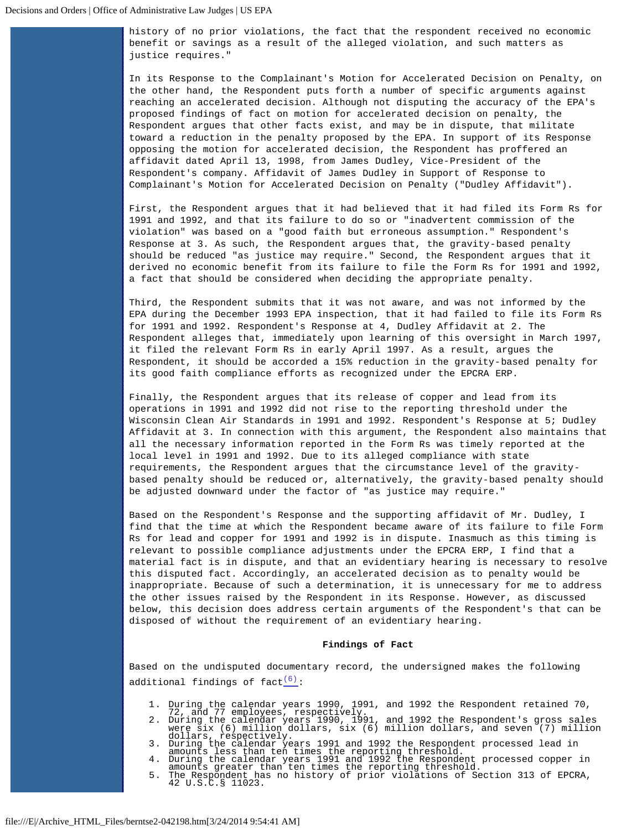history of no prior violations, the fact that the respondent received no economic benefit or savings as a result of the alleged violation, and such matters as justice requires."

In its Response to the Complainant's Motion for Accelerated Decision on Penalty, on the other hand, the Respondent puts forth a number of specific arguments against reaching an accelerated decision. Although not disputing the accuracy of the EPA's proposed findings of fact on motion for accelerated decision on penalty, the Respondent argues that other facts exist, and may be in dispute, that militate toward a reduction in the penalty proposed by the EPA. In support of its Response opposing the motion for accelerated decision, the Respondent has proffered an affidavit dated April 13, 1998, from James Dudley, Vice-President of the Respondent's company. Affidavit of James Dudley in Support of Response to Complainant's Motion for Accelerated Decision on Penalty ("Dudley Affidavit").

First, the Respondent argues that it had believed that it had filed its Form Rs for 1991 and 1992, and that its failure to do so or "inadvertent commission of the violation" was based on a "good faith but erroneous assumption." Respondent's Response at 3. As such, the Respondent argues that, the gravity-based penalty should be reduced "as justice may require." Second, the Respondent argues that it derived no economic benefit from its failure to file the Form Rs for 1991 and 1992, a fact that should be considered when deciding the appropriate penalty.

Third, the Respondent submits that it was not aware, and was not informed by the EPA during the December 1993 EPA inspection, that it had failed to file its Form Rs for 1991 and 1992. Respondent's Response at 4, Dudley Affidavit at 2. The Respondent alleges that, immediately upon learning of this oversight in March 1997, it filed the relevant Form Rs in early April 1997. As a result, argues the Respondent, it should be accorded a 15% reduction in the gravity-based penalty for its good faith compliance efforts as recognized under the EPCRA ERP.

Finally, the Respondent argues that its release of copper and lead from its operations in 1991 and 1992 did not rise to the reporting threshold under the Wisconsin Clean Air Standards in 1991 and 1992. Respondent's Response at 5; Dudley Affidavit at 3. In connection with this argument, the Respondent also maintains that all the necessary information reported in the Form Rs was timely reported at the local level in 1991 and 1992. Due to its alleged compliance with state requirements, the Respondent argues that the circumstance level of the gravitybased penalty should be reduced or, alternatively, the gravity-based penalty should be adjusted downward under the factor of "as justice may require."

Based on the Respondent's Response and the supporting affidavit of Mr. Dudley, I find that the time at which the Respondent became aware of its failure to file Form Rs for lead and copper for 1991 and 1992 is in dispute. Inasmuch as this timing is relevant to possible compliance adjustments under the EPCRA ERP, I find that a material fact is in dispute, and that an evidentiary hearing is necessary to resolve this disputed fact. Accordingly, an accelerated decision as to penalty would be inappropriate. Because of such a determination, it is unnecessary for me to address the other issues raised by the Respondent in its Response. However, as discussed below, this decision does address certain arguments of the Respondent's that can be disposed of without the requirement of an evidentiary hearing.

#### **Findings of Fact**

Based on the undisputed documentary record, the undersigned makes the following additional findings of fact $\frac{(6)}{1}$  $\frac{(6)}{1}$  $\frac{(6)}{1}$ :

- 
- 
- 1. During the calendar years 1990, 1991, and 1992 the Respondent retained 70,<br>72, and 77 employees, respectively.<br>2. During the calendar years 1990, 1991, and 1992 the Respondent's gross sales<br>were six (6) million dollars, dollars, respectively. 3. During the calendar years 1991 and 1992 the Respondent processed lead in
	-
	- amounts less than ten times the reporting threshold.<br>4. During the calendar years 1991 and 1992 the Respondent processed copper in<br>amounts greater than ten times the reporting threshold.<br>5. The Respondent has no history of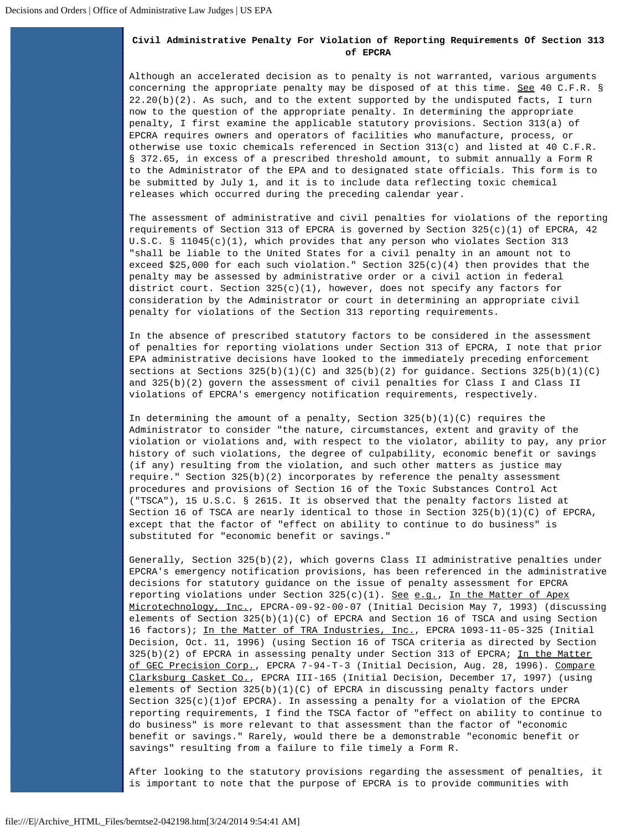# **Civil Administrative Penalty For Violation of Reporting Requirements Of Section 313 of EPCRA**

Although an accelerated decision as to penalty is not warranted, various arguments concerning the appropriate penalty may be disposed of at this time. See 40 C.F.R. § 22.20(b)(2). As such, and to the extent supported by the undisputed facts, I turn now to the question of the appropriate penalty. In determining the appropriate penalty, I first examine the applicable statutory provisions. Section 313(a) of EPCRA requires owners and operators of facilities who manufacture, process, or otherwise use toxic chemicals referenced in Section 313(c) and listed at 40 C.F.R. § 372.65, in excess of a prescribed threshold amount, to submit annually a Form R to the Administrator of the EPA and to designated state officials. This form is to be submitted by July 1, and it is to include data reflecting toxic chemical releases which occurred during the preceding calendar year.

The assessment of administrative and civil penalties for violations of the reporting requirements of Section 313 of EPCRA is governed by Section  $325(c)(1)$  of EPCRA, 42 U.S.C. § 11045(c)(1), which provides that any person who violates Section 313 "shall be liable to the United States for a civil penalty in an amount not to exceed \$25,000 for each such violation." Section  $325(c)(4)$  then provides that the penalty may be assessed by administrative order or a civil action in federal district court. Section  $325(c)(1)$ , however, does not specify any factors for consideration by the Administrator or court in determining an appropriate civil penalty for violations of the Section 313 reporting requirements.

In the absence of prescribed statutory factors to be considered in the assessment of penalties for reporting violations under Section 313 of EPCRA, I note that prior EPA administrative decisions have looked to the immediately preceding enforcement sections at Sections  $325(b)(1)(C)$  and  $325(b)(2)$  for guidance. Sections  $325(b)(1)(C)$ and 325(b)(2) govern the assessment of civil penalties for Class I and Class II violations of EPCRA's emergency notification requirements, respectively.

In determining the amount of a penalty, Section  $325(b)(1)(C)$  requires the Administrator to consider "the nature, circumstances, extent and gravity of the violation or violations and, with respect to the violator, ability to pay, any prior history of such violations, the degree of culpability, economic benefit or savings (if any) resulting from the violation, and such other matters as justice may require." Section 325(b)(2) incorporates by reference the penalty assessment procedures and provisions of Section 16 of the Toxic Substances Control Act ("TSCA"), 15 U.S.C. § 2615. It is observed that the penalty factors listed at Section 16 of TSCA are nearly identical to those in Section 325(b)(1)(C) of EPCRA, except that the factor of "effect on ability to continue to do business" is substituted for "economic benefit or savings."

Generally, Section 325(b)(2), which governs Class II administrative penalties under EPCRA's emergency notification provisions, has been referenced in the administrative decisions for statutory guidance on the issue of penalty assessment for EPCRA reporting violations under Section  $325(c)(1)$ . See e.g., In the Matter of Apex Microtechnology, Inc., EPCRA-09-92-00-07 (Initial Decision May 7, 1993) (discussing elements of Section  $325(b)(1)(C)$  of EPCRA and Section 16 of TSCA and using Section 16 factors); In the Matter of TRA Industries, Inc., EPCRA 1093-11-05-325 (Initial Decision, Oct. 11, 1996) (using Section 16 of TSCA criteria as directed by Section 325(b)(2) of EPCRA in assessing penalty under Section 313 of EPCRA; In the Matter of GEC Precision Corp., EPCRA 7-94-T-3 (Initial Decision, Aug. 28, 1996). Compare Clarksburg Casket Co., EPCRA III-165 (Initial Decision, December 17, 1997) (using elements of Section  $325(b)(1)(C)$  of EPCRA in discussing penalty factors under Section 325(c)(1)of EPCRA). In assessing a penalty for a violation of the EPCRA reporting requirements, I find the TSCA factor of "effect on ability to continue to do business" is more relevant to that assessment than the factor of "economic benefit or savings." Rarely, would there be a demonstrable "economic benefit or savings" resulting from a failure to file timely a Form R.

After looking to the statutory provisions regarding the assessment of penalties, it is important to note that the purpose of EPCRA is to provide communities with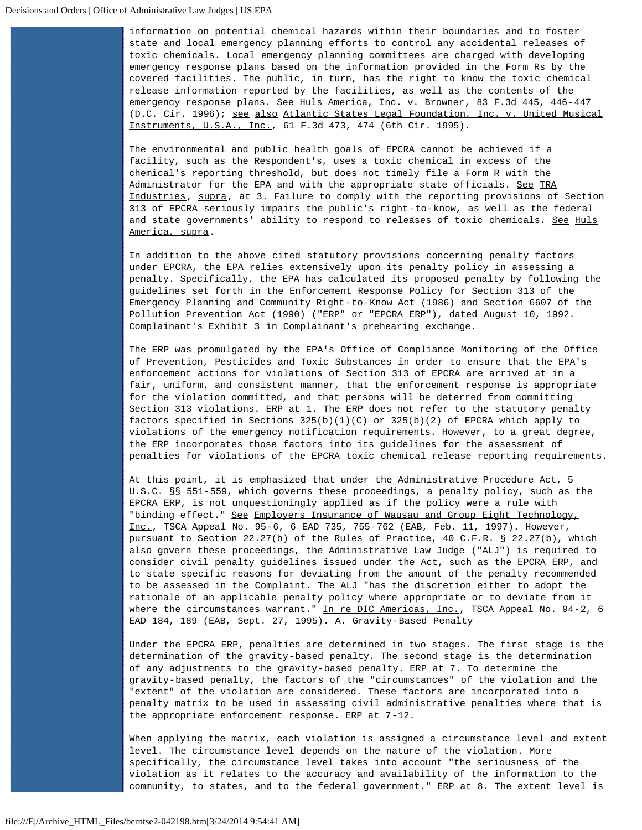information on potential chemical hazards within their boundaries and to foster state and local emergency planning efforts to control any accidental releases of toxic chemicals. Local emergency planning committees are charged with developing emergency response plans based on the information provided in the Form Rs by the covered facilities. The public, in turn, has the right to know the toxic chemical release information reported by the facilities, as well as the contents of the emergency response plans. See Huls America, Inc. v. Browner, 83 F.3d 445, 446-447 (D.C. Cir. 1996); see also Atlantic States Legal Foundation, Inc. v. United Musical Instruments, U.S.A., Inc., 61 F.3d 473, 474 (6th Cir. 1995).

The environmental and public health goals of EPCRA cannot be achieved if a facility, such as the Respondent's, uses a toxic chemical in excess of the chemical's reporting threshold, but does not timely file a Form R with the Administrator for the EPA and with the appropriate state officials. See TRA Industries, supra, at 3. Failure to comply with the reporting provisions of Section 313 of EPCRA seriously impairs the public's right-to-know, as well as the federal and state governments' ability to respond to releases of toxic chemicals. See Huls America, supra.

In addition to the above cited statutory provisions concerning penalty factors under EPCRA, the EPA relies extensively upon its penalty policy in assessing a penalty. Specifically, the EPA has calculated its proposed penalty by following the guidelines set forth in the Enforcement Response Policy for Section 313 of the Emergency Planning and Community Right-to-Know Act (1986) and Section 6607 of the Pollution Prevention Act (1990) ("ERP" or "EPCRA ERP"), dated August 10, 1992. Complainant's Exhibit 3 in Complainant's prehearing exchange.

The ERP was promulgated by the EPA's Office of Compliance Monitoring of the Office of Prevention, Pesticides and Toxic Substances in order to ensure that the EPA's enforcement actions for violations of Section 313 of EPCRA are arrived at in a fair, uniform, and consistent manner, that the enforcement response is appropriate for the violation committed, and that persons will be deterred from committing Section 313 violations. ERP at 1. The ERP does not refer to the statutory penalty factors specified in Sections 325(b)(1)(C) or 325(b)(2) of EPCRA which apply to violations of the emergency notification requirements. However, to a great degree, the ERP incorporates those factors into its guidelines for the assessment of penalties for violations of the EPCRA toxic chemical release reporting requirements.

At this point, it is emphasized that under the Administrative Procedure Act, 5 U.S.C. §§ 551-559, which governs these proceedings, a penalty policy, such as the EPCRA ERP, is not unquestioningly applied as if the policy were a rule with "binding effect." See Employers Insurance of Wausau and Group Eight Technology, Inc., TSCA Appeal No. 95-6, 6 EAD 735, 755-762 (EAB, Feb. 11, 1997). However, pursuant to Section 22.27(b) of the Rules of Practice, 40 C.F.R. § 22.27(b), which also govern these proceedings, the Administrative Law Judge ("ALJ") is required to consider civil penalty guidelines issued under the Act, such as the EPCRA ERP, and to state specific reasons for deviating from the amount of the penalty recommended to be assessed in the Complaint. The ALJ "has the discretion either to adopt the rationale of an applicable penalty policy where appropriate or to deviate from it where the circumstances warrant." In re DIC Americas, Inc., TSCA Appeal No. 94-2, 6 EAD 184, 189 (EAB, Sept. 27, 1995). A. Gravity-Based Penalty

Under the EPCRA ERP, penalties are determined in two stages. The first stage is the determination of the gravity-based penalty. The second stage is the determination of any adjustments to the gravity-based penalty. ERP at 7. To determine the gravity-based penalty, the factors of the "circumstances" of the violation and the "extent" of the violation are considered. These factors are incorporated into a penalty matrix to be used in assessing civil administrative penalties where that is the appropriate enforcement response. ERP at 7-12.

When applying the matrix, each violation is assigned a circumstance level and extent level. The circumstance level depends on the nature of the violation. More specifically, the circumstance level takes into account "the seriousness of the violation as it relates to the accuracy and availability of the information to the community, to states, and to the federal government." ERP at 8. The extent level is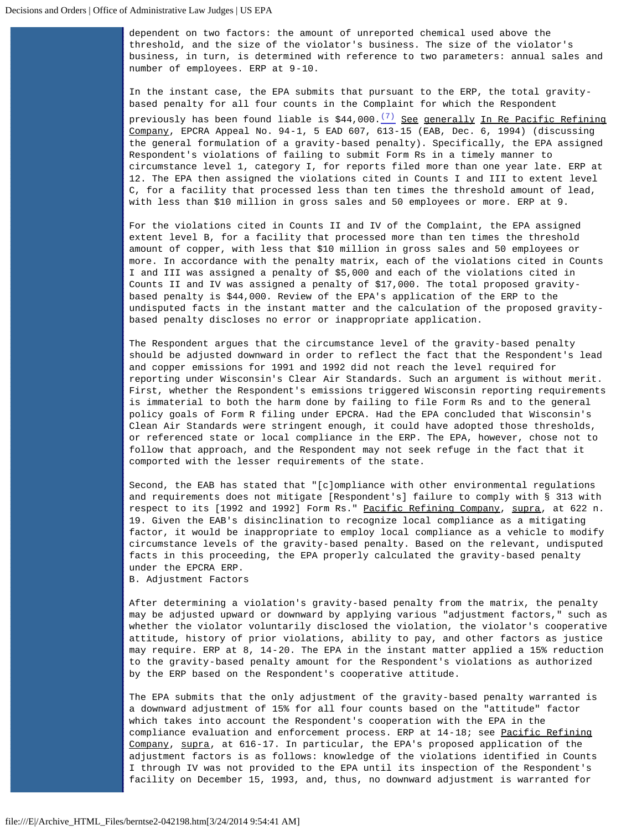dependent on two factors: the amount of unreported chemical used above the threshold, and the size of the violator's business. The size of the violator's business, in turn, is determined with reference to two parameters: annual sales and number of employees. ERP at 9-10.

In the instant case, the EPA submits that pursuant to the ERP, the total gravitybased penalty for all four counts in the Complaint for which the Respondent previously has been found liable is  $$44,000.\frac{(7)}{3}$  $$44,000.\frac{(7)}{3}$  $$44,000.\frac{(7)}{3}$  See generally In Re Pacific Refining Company, EPCRA Appeal No. 94-1, 5 EAD 607, 613-15 (EAB, Dec. 6, 1994) (discussing the general formulation of a gravity-based penalty). Specifically, the EPA assigned Respondent's violations of failing to submit Form Rs in a timely manner to circumstance level 1, category I, for reports filed more than one year late. ERP at 12. The EPA then assigned the violations cited in Counts I and III to extent level C, for a facility that processed less than ten times the threshold amount of lead, with less than \$10 million in gross sales and 50 employees or more. ERP at 9.

For the violations cited in Counts II and IV of the Complaint, the EPA assigned extent level B, for a facility that processed more than ten times the threshold amount of copper, with less that \$10 million in gross sales and 50 employees or more. In accordance with the penalty matrix, each of the violations cited in Counts I and III was assigned a penalty of \$5,000 and each of the violations cited in Counts II and IV was assigned a penalty of \$17,000. The total proposed gravitybased penalty is \$44,000. Review of the EPA's application of the ERP to the undisputed facts in the instant matter and the calculation of the proposed gravitybased penalty discloses no error or inappropriate application.

The Respondent argues that the circumstance level of the gravity-based penalty should be adjusted downward in order to reflect the fact that the Respondent's lead and copper emissions for 1991 and 1992 did not reach the level required for reporting under Wisconsin's Clear Air Standards. Such an argument is without merit. First, whether the Respondent's emissions triggered Wisconsin reporting requirements is immaterial to both the harm done by failing to file Form Rs and to the general policy goals of Form R filing under EPCRA. Had the EPA concluded that Wisconsin's Clean Air Standards were stringent enough, it could have adopted those thresholds, or referenced state or local compliance in the ERP. The EPA, however, chose not to follow that approach, and the Respondent may not seek refuge in the fact that it comported with the lesser requirements of the state.

Second, the EAB has stated that "[c]ompliance with other environmental regulations and requirements does not mitigate [Respondent's] failure to comply with § 313 with respect to its [1992 and 1992] Form Rs." Pacific Refining Company, supra, at 622 n. 19. Given the EAB's disinclination to recognize local compliance as a mitigating factor, it would be inappropriate to employ local compliance as a vehicle to modify circumstance levels of the gravity-based penalty. Based on the relevant, undisputed facts in this proceeding, the EPA properly calculated the gravity-based penalty under the EPCRA ERP.

B. Adjustment Factors

After determining a violation's gravity-based penalty from the matrix, the penalty may be adjusted upward or downward by applying various "adjustment factors," such as whether the violator voluntarily disclosed the violation, the violator's cooperative attitude, history of prior violations, ability to pay, and other factors as justice may require. ERP at 8, 14-20. The EPA in the instant matter applied a 15% reduction to the gravity-based penalty amount for the Respondent's violations as authorized by the ERP based on the Respondent's cooperative attitude.

The EPA submits that the only adjustment of the gravity-based penalty warranted is a downward adjustment of 15% for all four counts based on the "attitude" factor which takes into account the Respondent's cooperation with the EPA in the compliance evaluation and enforcement process. ERP at 14-18; see Pacific Refining Company, supra, at 616-17. In particular, the EPA's proposed application of the adjustment factors is as follows: knowledge of the violations identified in Counts I through IV was not provided to the EPA until its inspection of the Respondent's facility on December 15, 1993, and, thus, no downward adjustment is warranted for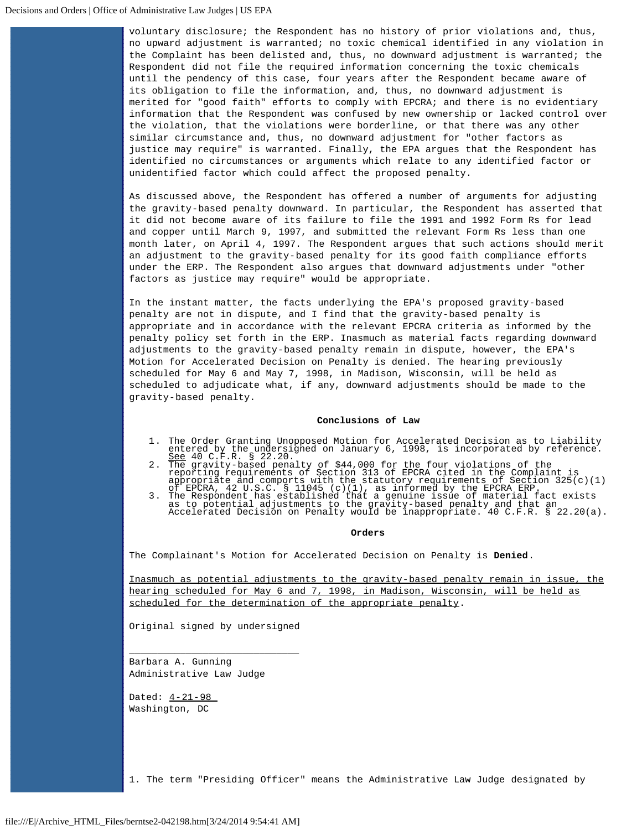voluntary disclosure; the Respondent has no history of prior violations and, thus, no upward adjustment is warranted; no toxic chemical identified in any violation in the Complaint has been delisted and, thus, no downward adjustment is warranted; the Respondent did not file the required information concerning the toxic chemicals until the pendency of this case, four years after the Respondent became aware of its obligation to file the information, and, thus, no downward adjustment is merited for "good faith" efforts to comply with EPCRA; and there is no evidentiary information that the Respondent was confused by new ownership or lacked control over the violation, that the violations were borderline, or that there was any other similar circumstance and, thus, no downward adjustment for "other factors as justice may require" is warranted. Finally, the EPA argues that the Respondent has identified no circumstances or arguments which relate to any identified factor or unidentified factor which could affect the proposed penalty.

As discussed above, the Respondent has offered a number of arguments for adjusting the gravity-based penalty downward. In particular, the Respondent has asserted that it did not become aware of its failure to file the 1991 and 1992 Form Rs for lead and copper until March 9, 1997, and submitted the relevant Form Rs less than one month later, on April 4, 1997. The Respondent argues that such actions should merit an adjustment to the gravity-based penalty for its good faith compliance efforts under the ERP. The Respondent also argues that downward adjustments under "other factors as justice may require" would be appropriate.

In the instant matter, the facts underlying the EPA's proposed gravity-based penalty are not in dispute, and I find that the gravity-based penalty is appropriate and in accordance with the relevant EPCRA criteria as informed by the penalty policy set forth in the ERP. Inasmuch as material facts regarding downward adjustments to the gravity-based penalty remain in dispute, however, the EPA's Motion for Accelerated Decision on Penalty is denied. The hearing previously scheduled for May 6 and May 7, 1998, in Madison, Wisconsin, will be held as scheduled to adjudicate what, if any, downward adjustments should be made to the gravity-based penalty.

#### **Conclusions of Law**

- 
- 
- 1. The Order Granting Unopposed Motion for Accelerated Decision as to Liability<br>entered by the undersigned on January 6, 1998, is incorporated by reference.<br>See 40 C.F.R. \$ 22.20.<br>2. The gravity-based penalty of \$44,000 fo

#### **Orders**

The Complainant's Motion for Accelerated Decision on Penalty is **Denied**.

Inasmuch as potential adjustments to the gravity-based penalty remain in issue, the hearing scheduled for May 6 and 7, 1998, in Madison, Wisconsin, will be held as scheduled for the determination of the appropriate penalty.

Original signed by undersigned

\_\_\_\_\_\_\_\_\_\_\_\_\_\_\_\_\_\_\_\_\_\_\_\_\_\_\_\_\_\_

Barbara A. Gunning Administrative Law Judge

Dated:  $4-21-98$ Washington, DC

<span id="page-8-0"></span>1. The term "Presiding Officer" means the Administrative Law Judge designated by